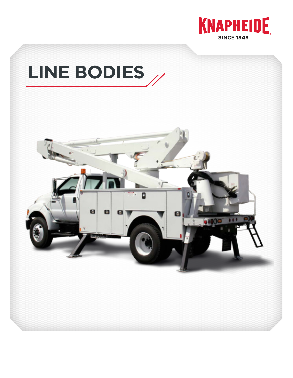

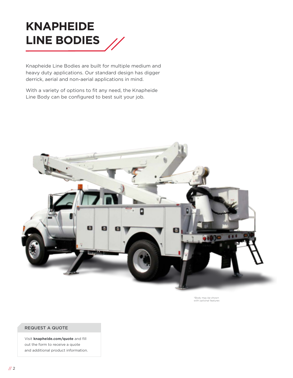

Knapheide Line Bodies are built for multiple medium and heavy duty applications. Our standard design has digger derrick, aerial and non-aerial applications in mind.

With a variety of options to fit any need, the Knapheide Line Body can be configured to best suit your job.



\*Body may be shown with optional features

### REQUEST A QUOTE

Visit **knapheide.com/quote** and fill out the form to receive a quote and additional product information.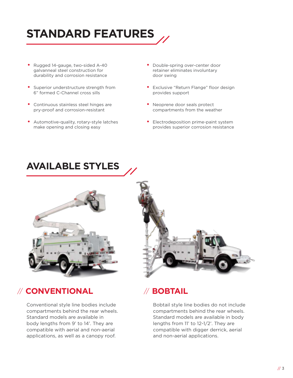

- Rugged 14-gauge, two-sided A-40 galvanneal steel construction for durability and corrosion resistance
- Superior understructure strength from 6" formed C-Channel cross sills
- Continuous stainless steel hinges are pry-proof and corrosion-resistant
- Automotive-quality, rotary-style latches make opening and closing easy
- Double-spring over-center door retainer eliminates involuntary door swing
- Exclusive "Return Flange" floor design provides support
- Neoprene door seals protect compartments from the weather
- Electrodeposition prime-paint system provides superior corrosion resistance

# **AVAILABLE STYLES**



### // **CONVENTIONAL** // **BOBTAIL**

Conventional style line bodies include compartments behind the rear wheels. Standard models are available in body lengths from 9' to 14'. They are compatible with aerial and non-aerial applications, as well as a canopy roof.

Bobtail style line bodies do not include compartments behind the rear wheels. Standard models are available in body lengths from 11' to 12-1/2'. They are compatible with digger derrick, aerial and non-aerial applications.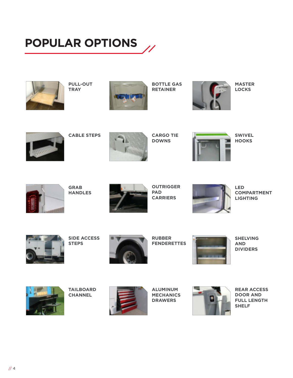# **POPULAR OPTIONS**



**PULL-OUT TRAY**



**BOTTLE GAS RETAINER**



**MASTER LOCKS**



**CABLE STEPS**



**CARGO TIE DOWNS**



**SWIVEL HOOKS**



**GRAB HANDLES**



**OUTRIGGER PAD CARRIERS**



**LED COMPARTMENT LIGHTING**



**SIDE ACCESS STEPS**



**RUBBER FENDERETTES**



**SHELVING AND DIVIDERS**



**TAILBOARD CHANNEL**



**ALUMINUM MECHANICS DRAWERS**



**REAR ACCESS DOOR AND FULL LENGTH SHELF**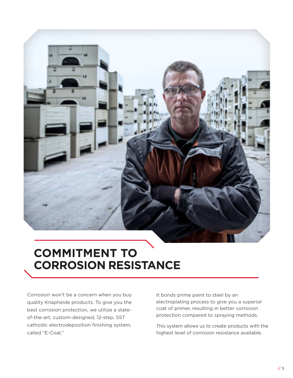

# **COMMITMENT TO CORROSION RESISTANCE**

Corrosion won't be a concern when you buy quality Knapheide products. To give you the best corrosion protection, we utilize a stateof-the-art, custom-designed, 12-step, SST cathodic electrodeposition finishing system, called "E-Coat."

It bonds prime paint to steel by an electroplating process to give you a superior coat of primer, resulting in better corrosion protection compared to spraying methods.

This system allows us to create products with the highest level of corrosion resistance available.